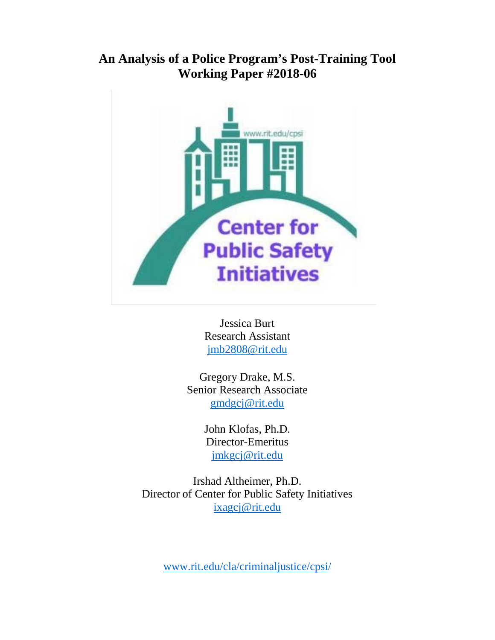# **An Analysis of a Police Program's Post-Training Tool Working Paper #2018-06**



Jessica Burt Research Assistant [jmb2808@rit.edu](mailto:jmb2808@rit.edu)

Gregory Drake, M.S. Senior Research Associate [gmdgcj@rit.edu](mailto:gmdgcj@rit.edu)

> John Klofas, Ph.D. Director-Emeritus [jmkgcj@rit.edu](mailto:jmkgcj@rit.edu)

Irshad Altheimer, Ph.D. Director of Center for Public Safety Initiatives [ixagcj@rit.edu](mailto:ixagcj@rit.edu)

[www.rit.edu/cla/criminaljustice/cpsi/](http://www.rit.edu/cla/criminaljustice/cpsi/)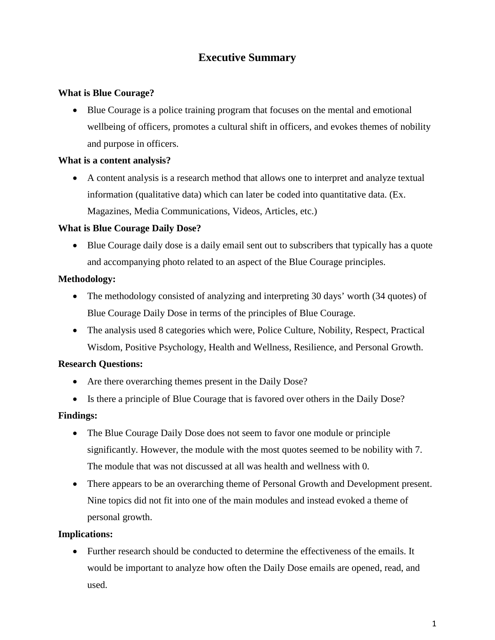## **Executive Summary**

## **What is Blue Courage?**

• Blue Courage is a police training program that focuses on the mental and emotional wellbeing of officers, promotes a cultural shift in officers, and evokes themes of nobility and purpose in officers.

## **What is a content analysis?**

• A content analysis is a research method that allows one to interpret and analyze textual information (qualitative data) which can later be coded into quantitative data. (Ex. Magazines, Media Communications, Videos, Articles, etc.)

### **What is Blue Courage Daily Dose?**

• Blue Courage daily dose is a daily email sent out to subscribers that typically has a quote and accompanying photo related to an aspect of the Blue Courage principles.

### **Methodology:**

- The methodology consisted of analyzing and interpreting 30 days' worth (34 quotes) of Blue Courage Daily Dose in terms of the principles of Blue Courage.
- The analysis used 8 categories which were, Police Culture, Nobility, Respect, Practical Wisdom, Positive Psychology, Health and Wellness, Resilience, and Personal Growth.

## **Research Questions:**

- Are there overarching themes present in the Daily Dose?
- Is there a principle of Blue Courage that is favored over others in the Daily Dose?

#### **Findings:**

- The Blue Courage Daily Dose does not seem to favor one module or principle significantly. However, the module with the most quotes seemed to be nobility with 7. The module that was not discussed at all was health and wellness with 0.
- There appears to be an overarching theme of Personal Growth and Development present. Nine topics did not fit into one of the main modules and instead evoked a theme of personal growth.

#### **Implications:**

• Further research should be conducted to determine the effectiveness of the emails. It would be important to analyze how often the Daily Dose emails are opened, read, and used.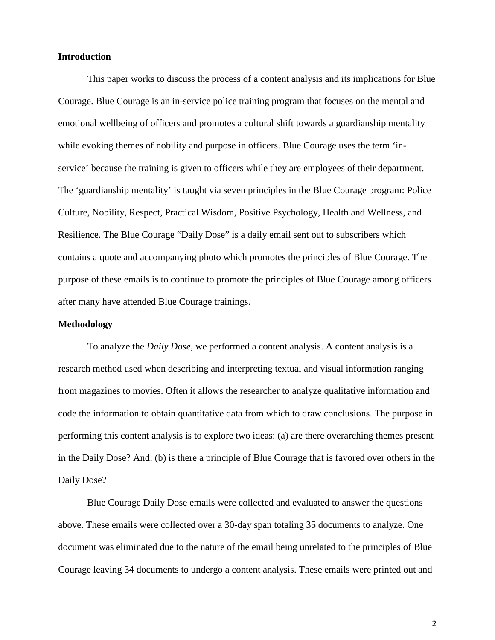#### **Introduction**

This paper works to discuss the process of a content analysis and its implications for Blue Courage. Blue Courage is an in-service police training program that focuses on the mental and emotional wellbeing of officers and promotes a cultural shift towards a guardianship mentality while evoking themes of nobility and purpose in officers. Blue Courage uses the term 'inservice' because the training is given to officers while they are employees of their department. The 'guardianship mentality' is taught via seven principles in the Blue Courage program: Police Culture, Nobility, Respect, Practical Wisdom, Positive Psychology, Health and Wellness, and Resilience. The Blue Courage "Daily Dose" is a daily email sent out to subscribers which contains a quote and accompanying photo which promotes the principles of Blue Courage. The purpose of these emails is to continue to promote the principles of Blue Courage among officers after many have attended Blue Courage trainings.

#### **Methodology**

To analyze the *Daily Dose*, we performed a content analysis. A content analysis is a research method used when describing and interpreting textual and visual information ranging from magazines to movies. Often it allows the researcher to analyze qualitative information and code the information to obtain quantitative data from which to draw conclusions. The purpose in performing this content analysis is to explore two ideas: (a) are there overarching themes present in the Daily Dose? And: (b) is there a principle of Blue Courage that is favored over others in the Daily Dose?

Blue Courage Daily Dose emails were collected and evaluated to answer the questions above. These emails were collected over a 30-day span totaling 35 documents to analyze. One document was eliminated due to the nature of the email being unrelated to the principles of Blue Courage leaving 34 documents to undergo a content analysis. These emails were printed out and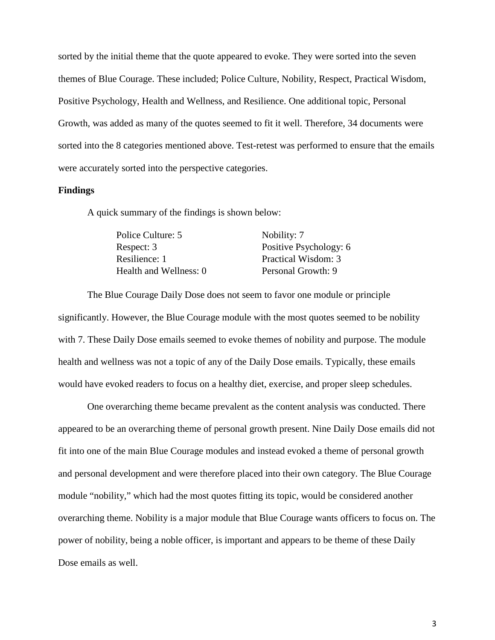sorted by the initial theme that the quote appeared to evoke. They were sorted into the seven themes of Blue Courage. These included; Police Culture, Nobility, Respect, Practical Wisdom, Positive Psychology, Health and Wellness, and Resilience. One additional topic, Personal Growth, was added as many of the quotes seemed to fit it well. Therefore, 34 documents were sorted into the 8 categories mentioned above. Test-retest was performed to ensure that the emails were accurately sorted into the perspective categories.

#### **Findings**

A quick summary of the findings is shown below:

| Nobility: 7            |
|------------------------|
| Positive Psychology: 6 |
| Practical Wisdom: 3    |
| Personal Growth: 9     |
|                        |

The Blue Courage Daily Dose does not seem to favor one module or principle significantly. However, the Blue Courage module with the most quotes seemed to be nobility with 7. These Daily Dose emails seemed to evoke themes of nobility and purpose. The module health and wellness was not a topic of any of the Daily Dose emails. Typically, these emails would have evoked readers to focus on a healthy diet, exercise, and proper sleep schedules.

One overarching theme became prevalent as the content analysis was conducted. There appeared to be an overarching theme of personal growth present. Nine Daily Dose emails did not fit into one of the main Blue Courage modules and instead evoked a theme of personal growth and personal development and were therefore placed into their own category. The Blue Courage module "nobility," which had the most quotes fitting its topic, would be considered another overarching theme. Nobility is a major module that Blue Courage wants officers to focus on. The power of nobility, being a noble officer, is important and appears to be theme of these Daily Dose emails as well.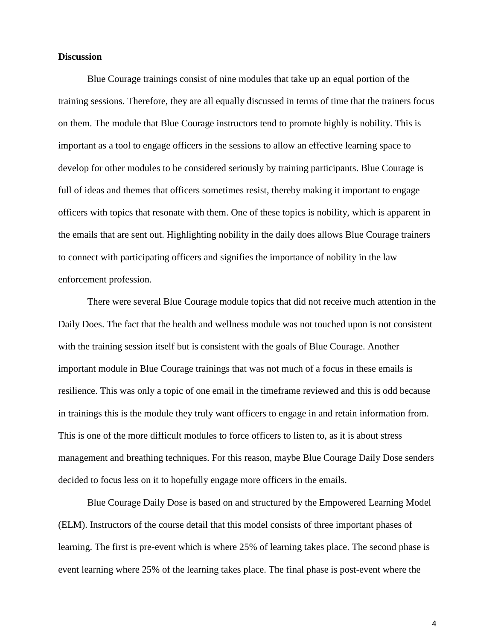#### **Discussion**

Blue Courage trainings consist of nine modules that take up an equal portion of the training sessions. Therefore, they are all equally discussed in terms of time that the trainers focus on them. The module that Blue Courage instructors tend to promote highly is nobility. This is important as a tool to engage officers in the sessions to allow an effective learning space to develop for other modules to be considered seriously by training participants. Blue Courage is full of ideas and themes that officers sometimes resist, thereby making it important to engage officers with topics that resonate with them. One of these topics is nobility, which is apparent in the emails that are sent out. Highlighting nobility in the daily does allows Blue Courage trainers to connect with participating officers and signifies the importance of nobility in the law enforcement profession.

There were several Blue Courage module topics that did not receive much attention in the Daily Does. The fact that the health and wellness module was not touched upon is not consistent with the training session itself but is consistent with the goals of Blue Courage. Another important module in Blue Courage trainings that was not much of a focus in these emails is resilience. This was only a topic of one email in the timeframe reviewed and this is odd because in trainings this is the module they truly want officers to engage in and retain information from. This is one of the more difficult modules to force officers to listen to, as it is about stress management and breathing techniques. For this reason, maybe Blue Courage Daily Dose senders decided to focus less on it to hopefully engage more officers in the emails.

Blue Courage Daily Dose is based on and structured by the Empowered Learning Model (ELM). Instructors of the course detail that this model consists of three important phases of learning. The first is pre-event which is where 25% of learning takes place. The second phase is event learning where 25% of the learning takes place. The final phase is post-event where the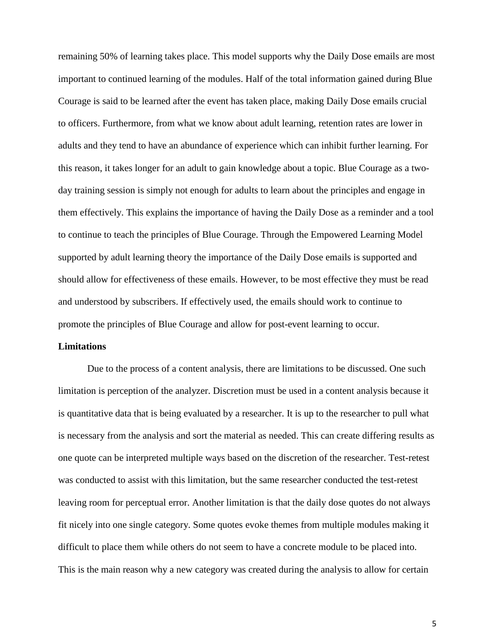remaining 50% of learning takes place. This model supports why the Daily Dose emails are most important to continued learning of the modules. Half of the total information gained during Blue Courage is said to be learned after the event has taken place, making Daily Dose emails crucial to officers. Furthermore, from what we know about adult learning, retention rates are lower in adults and they tend to have an abundance of experience which can inhibit further learning. For this reason, it takes longer for an adult to gain knowledge about a topic. Blue Courage as a twoday training session is simply not enough for adults to learn about the principles and engage in them effectively. This explains the importance of having the Daily Dose as a reminder and a tool to continue to teach the principles of Blue Courage. Through the Empowered Learning Model supported by adult learning theory the importance of the Daily Dose emails is supported and should allow for effectiveness of these emails. However, to be most effective they must be read and understood by subscribers. If effectively used, the emails should work to continue to promote the principles of Blue Courage and allow for post-event learning to occur.

#### **Limitations**

Due to the process of a content analysis, there are limitations to be discussed. One such limitation is perception of the analyzer. Discretion must be used in a content analysis because it is quantitative data that is being evaluated by a researcher. It is up to the researcher to pull what is necessary from the analysis and sort the material as needed. This can create differing results as one quote can be interpreted multiple ways based on the discretion of the researcher. Test-retest was conducted to assist with this limitation, but the same researcher conducted the test-retest leaving room for perceptual error. Another limitation is that the daily dose quotes do not always fit nicely into one single category. Some quotes evoke themes from multiple modules making it difficult to place them while others do not seem to have a concrete module to be placed into. This is the main reason why a new category was created during the analysis to allow for certain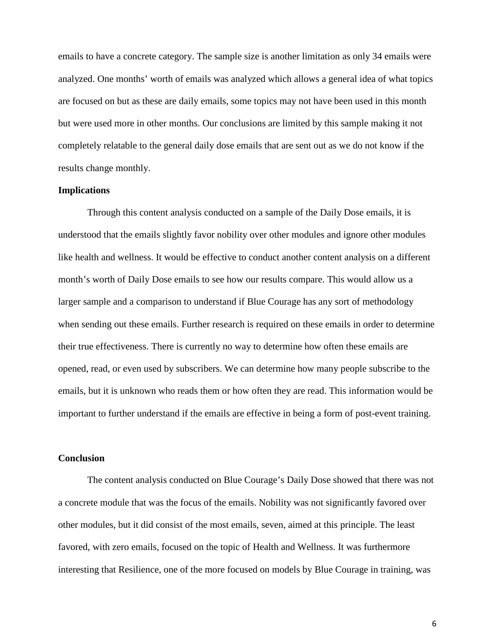emails to have a concrete category. The sample size is another limitation as only 34 emails were analyzed. One months' worth of emails was analyzed which allows a general idea of what topics are focused on but as these are daily emails, some topics may not have been used in this month but were used more in other months. Our conclusions are limited by this sample making it not completely relatable to the general daily dose emails that are sent out as we do not know if the results change monthly.

#### **Implications**

Through this content analysis conducted on a sample of the Daily Dose emails, it is understood that the emails slightly favor nobility over other modules and ignore other modules like health and wellness. It would be effective to conduct another content analysis on a different month's worth of Daily Dose emails to see how our results compare. This would allow us a larger sample and a comparison to understand if Blue Courage has any sort of methodology when sending out these emails. Further research is required on these emails in order to determine their true effectiveness. There is currently no way to determine how often these emails are opened, read, or even used by subscribers. We can determine how many people subscribe to the emails, but it is unknown who reads them or how often they are read. This information would be important to further understand if the emails are effective in being a form of post-event training.

#### **Conclusion**

The content analysis conducted on Blue Courage's Daily Dose showed that there was not a concrete module that was the focus of the emails. Nobility was not significantly favored over other modules, but it did consist of the most emails, seven, aimed at this principle. The least favored, with zero emails, focused on the topic of Health and Wellness. It was furthermore interesting that Resilience, one of the more focused on models by Blue Courage in training, was

6